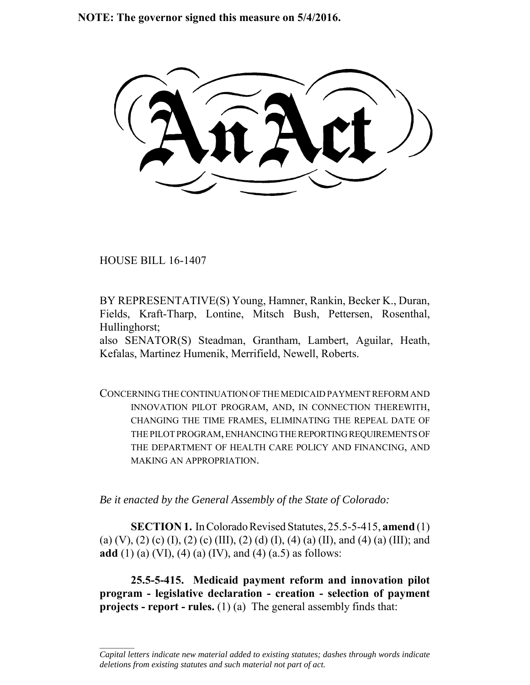**NOTE: The governor signed this measure on 5/4/2016.**

HOUSE BILL 16-1407

 $\frac{1}{2}$ 

BY REPRESENTATIVE(S) Young, Hamner, Rankin, Becker K., Duran, Fields, Kraft-Tharp, Lontine, Mitsch Bush, Pettersen, Rosenthal, Hullinghorst;

also SENATOR(S) Steadman, Grantham, Lambert, Aguilar, Heath, Kefalas, Martinez Humenik, Merrifield, Newell, Roberts.

CONCERNING THE CONTINUATION OF THE MEDICAID PAYMENT REFORM AND INNOVATION PILOT PROGRAM, AND, IN CONNECTION THEREWITH, CHANGING THE TIME FRAMES, ELIMINATING THE REPEAL DATE OF THE PILOT PROGRAM, ENHANCING THE REPORTING REQUIREMENTS OF THE DEPARTMENT OF HEALTH CARE POLICY AND FINANCING, AND MAKING AN APPROPRIATION.

*Be it enacted by the General Assembly of the State of Colorado:*

**SECTION 1.** In Colorado Revised Statutes, 25.5-5-415, **amend** (1) (a) (V), (2) (c) (I), (2) (c) (III), (2) (d) (I), (4) (a) (II), and (4) (a) (III); and **add** (1) (a) (VI), (4) (a) (IV), and (4) (a.5) as follows:

**25.5-5-415. Medicaid payment reform and innovation pilot program - legislative declaration - creation - selection of payment projects - report - rules.** (1) (a) The general assembly finds that:

*Capital letters indicate new material added to existing statutes; dashes through words indicate deletions from existing statutes and such material not part of act.*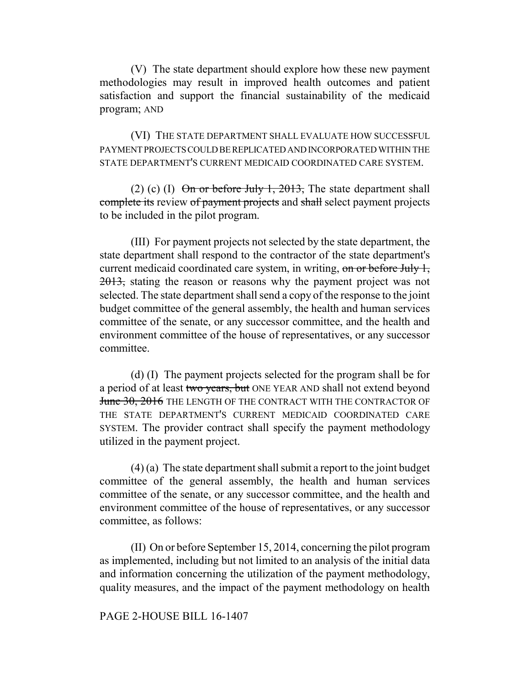(V) The state department should explore how these new payment methodologies may result in improved health outcomes and patient satisfaction and support the financial sustainability of the medicaid program; AND

(VI) THE STATE DEPARTMENT SHALL EVALUATE HOW SUCCESSFUL PAYMENT PROJECTS COULD BE REPLICATED AND INCORPORATED WITHIN THE STATE DEPARTMENT'S CURRENT MEDICAID COORDINATED CARE SYSTEM.

(2) (c) (I)  $\Theta$ n or before July 1, 2013, The state department shall complete its review of payment projects and shall select payment projects to be included in the pilot program.

(III) For payment projects not selected by the state department, the state department shall respond to the contractor of the state department's current medicaid coordinated care system, in writing, on or before July 1, 2013, stating the reason or reasons why the payment project was not selected. The state department shall send a copy of the response to the joint budget committee of the general assembly, the health and human services committee of the senate, or any successor committee, and the health and environment committee of the house of representatives, or any successor committee.

(d) (I) The payment projects selected for the program shall be for a period of at least two years, but ONE YEAR AND shall not extend beyond June 30, 2016 THE LENGTH OF THE CONTRACT WITH THE CONTRACTOR OF THE STATE DEPARTMENT'S CURRENT MEDICAID COORDINATED CARE SYSTEM. The provider contract shall specify the payment methodology utilized in the payment project.

(4) (a) The state department shall submit a report to the joint budget committee of the general assembly, the health and human services committee of the senate, or any successor committee, and the health and environment committee of the house of representatives, or any successor committee, as follows:

(II) On or before September 15, 2014, concerning the pilot program as implemented, including but not limited to an analysis of the initial data and information concerning the utilization of the payment methodology, quality measures, and the impact of the payment methodology on health

## PAGE 2-HOUSE BILL 16-1407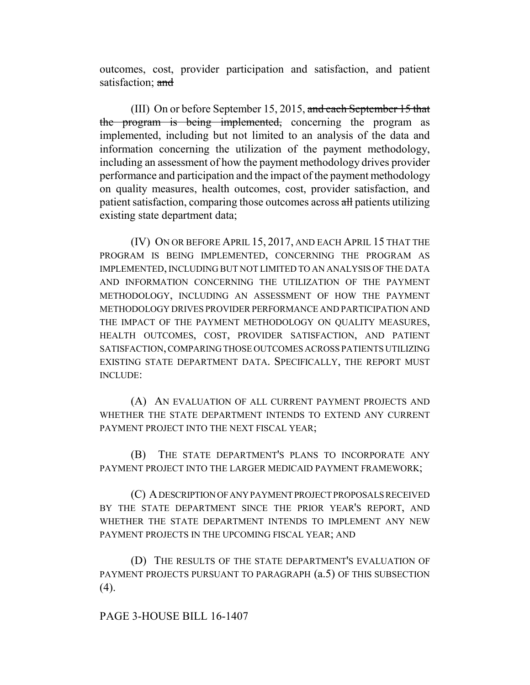outcomes, cost, provider participation and satisfaction, and patient satisfaction; and

(III) On or before September 15, 2015, and each September 15 that the program is being implemented, concerning the program as implemented, including but not limited to an analysis of the data and information concerning the utilization of the payment methodology, including an assessment of how the payment methodology drives provider performance and participation and the impact of the payment methodology on quality measures, health outcomes, cost, provider satisfaction, and patient satisfaction, comparing those outcomes across all patients utilizing existing state department data;

(IV) ON OR BEFORE APRIL 15, 2017, AND EACH APRIL 15 THAT THE PROGRAM IS BEING IMPLEMENTED, CONCERNING THE PROGRAM AS IMPLEMENTED, INCLUDING BUT NOT LIMITED TO AN ANALYSIS OF THE DATA AND INFORMATION CONCERNING THE UTILIZATION OF THE PAYMENT METHODOLOGY, INCLUDING AN ASSESSMENT OF HOW THE PAYMENT METHODOLOGY DRIVES PROVIDER PERFORMANCE AND PARTICIPATION AND THE IMPACT OF THE PAYMENT METHODOLOGY ON QUALITY MEASURES, HEALTH OUTCOMES, COST, PROVIDER SATISFACTION, AND PATIENT SATISFACTION, COMPARING THOSE OUTCOMES ACROSS PATIENTS UTILIZING EXISTING STATE DEPARTMENT DATA. SPECIFICALLY, THE REPORT MUST INCLUDE:

(A) AN EVALUATION OF ALL CURRENT PAYMENT PROJECTS AND WHETHER THE STATE DEPARTMENT INTENDS TO EXTEND ANY CURRENT PAYMENT PROJECT INTO THE NEXT FISCAL YEAR;

(B) THE STATE DEPARTMENT'S PLANS TO INCORPORATE ANY PAYMENT PROJECT INTO THE LARGER MEDICAID PAYMENT FRAMEWORK;

(C) A DESCRIPTION OF ANY PAYMENT PROJECT PROPOSALS RECEIVED BY THE STATE DEPARTMENT SINCE THE PRIOR YEAR'S REPORT, AND WHETHER THE STATE DEPARTMENT INTENDS TO IMPLEMENT ANY NEW PAYMENT PROJECTS IN THE UPCOMING FISCAL YEAR; AND

(D) THE RESULTS OF THE STATE DEPARTMENT'S EVALUATION OF PAYMENT PROJECTS PURSUANT TO PARAGRAPH  $(a.5)$  OF THIS SUBSECTION  $(4)$ .

## PAGE 3-HOUSE BILL 16-1407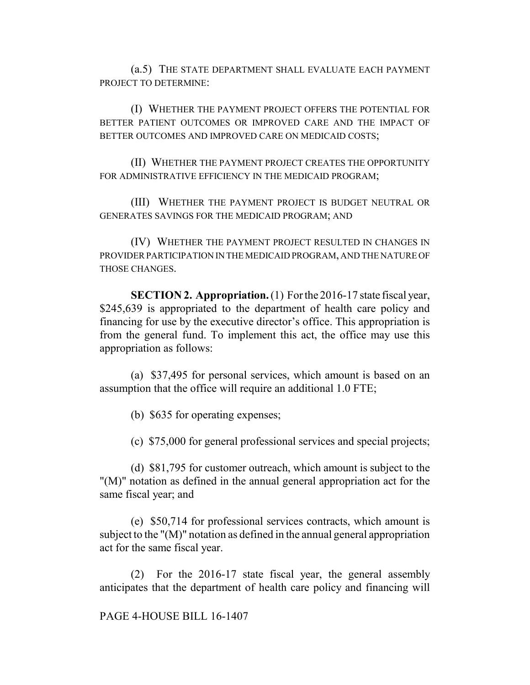(a.5) THE STATE DEPARTMENT SHALL EVALUATE EACH PAYMENT PROJECT TO DETERMINE:

(I) WHETHER THE PAYMENT PROJECT OFFERS THE POTENTIAL FOR BETTER PATIENT OUTCOMES OR IMPROVED CARE AND THE IMPACT OF BETTER OUTCOMES AND IMPROVED CARE ON MEDICAID COSTS;

(II) WHETHER THE PAYMENT PROJECT CREATES THE OPPORTUNITY FOR ADMINISTRATIVE EFFICIENCY IN THE MEDICAID PROGRAM;

(III) WHETHER THE PAYMENT PROJECT IS BUDGET NEUTRAL OR GENERATES SAVINGS FOR THE MEDICAID PROGRAM; AND

(IV) WHETHER THE PAYMENT PROJECT RESULTED IN CHANGES IN PROVIDER PARTICIPATION IN THE MEDICAID PROGRAM, AND THE NATURE OF THOSE CHANGES.

**SECTION 2. Appropriation.** (1) For the 2016-17 state fiscal year, \$245,639 is appropriated to the department of health care policy and financing for use by the executive director's office. This appropriation is from the general fund. To implement this act, the office may use this appropriation as follows:

(a) \$37,495 for personal services, which amount is based on an assumption that the office will require an additional 1.0 FTE;

(b) \$635 for operating expenses;

(c) \$75,000 for general professional services and special projects;

(d) \$81,795 for customer outreach, which amount is subject to the "(M)" notation as defined in the annual general appropriation act for the same fiscal year; and

(e) \$50,714 for professional services contracts, which amount is subject to the "(M)" notation as defined in the annual general appropriation act for the same fiscal year.

(2) For the 2016-17 state fiscal year, the general assembly anticipates that the department of health care policy and financing will

PAGE 4-HOUSE BILL 16-1407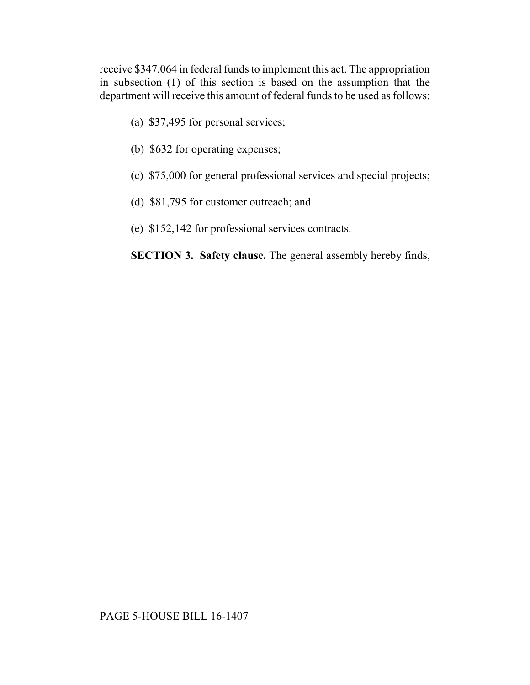receive \$347,064 in federal funds to implement this act. The appropriation in subsection (1) of this section is based on the assumption that the department will receive this amount of federal funds to be used as follows:

- (a) \$37,495 for personal services;
- (b) \$632 for operating expenses;
- (c) \$75,000 for general professional services and special projects;
- (d) \$81,795 for customer outreach; and
- (e) \$152,142 for professional services contracts.

**SECTION 3. Safety clause.** The general assembly hereby finds,